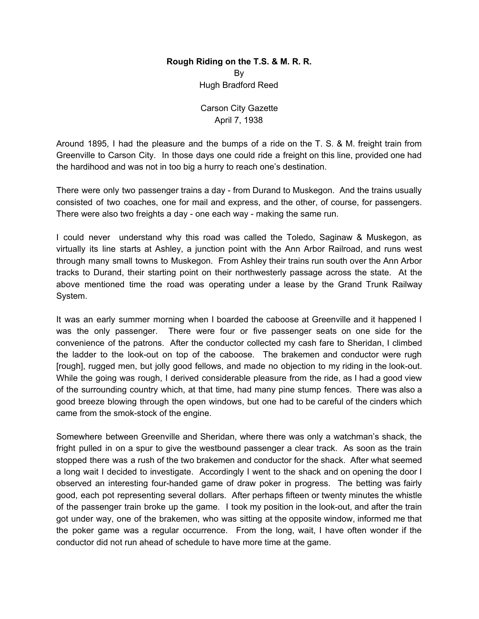## **Rough Riding on the T.S. & M. R. R.** By Hugh Bradford Reed

Carson City Gazette April 7, 1938

Around 1895, I had the pleasure and the bumps of a ride on the T. S. & M. freight train from Greenville to Carson City. In those days one could ride a freight on this line, provided one had the hardihood and was not in too big a hurry to reach one's destination.

There were only two passenger trains a day - from Durand to Muskegon. And the trains usually consisted of two coaches, one for mail and express, and the other, of course, for passengers. There were also two freights a day - one each way - making the same run.

I could never understand why this road was called the Toledo, Saginaw & Muskegon, as virtually its line starts at Ashley, a junction point with the Ann Arbor Railroad, and runs west through many small towns to Muskegon. From Ashley their trains run south over the Ann Arbor tracks to Durand, their starting point on their northwesterly passage across the state. At the above mentioned time the road was operating under a lease by the Grand Trunk Railway System.

It was an early summer morning when I boarded the caboose at Greenville and it happened I was the only passenger. There were four or five passenger seats on one side for the convenience of the patrons. After the conductor collected my cash fare to Sheridan, I climbed the ladder to the look-out on top of the caboose. The brakemen and conductor were rugh [rough], rugged men, but jolly good fellows, and made no objection to my riding in the look-out. While the going was rough, I derived considerable pleasure from the ride, as I had a good view of the surrounding country which, at that time, had many pine stump fences. There was also a good breeze blowing through the open windows, but one had to be careful of the cinders which came from the smok-stock of the engine.

Somewhere between Greenville and Sheridan, where there was only a watchman's shack, the fright pulled in on a spur to give the westbound passenger a clear track. As soon as the train stopped there was a rush of the two brakemen and conductor for the shack. After what seemed a long wait I decided to investigate. Accordingly I went to the shack and on opening the door I observed an interesting four-handed game of draw poker in progress. The betting was fairly good, each pot representing several dollars. After perhaps fifteen or twenty minutes the whistle of the passenger train broke up the game. I took my position in the look-out, and after the train got under way, one of the brakemen, who was sitting at the opposite window, informed me that the poker game was a regular occurrence. From the long, wait, I have often wonder if the conductor did not run ahead of schedule to have more time at the game.